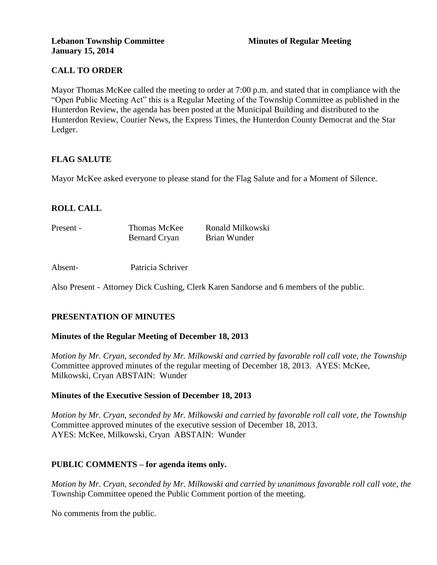# **CALL TO ORDER**

Mayor Thomas McKee called the meeting to order at 7:00 p.m. and stated that in compliance with the "Open Public Meeting Act" this is a Regular Meeting of the Township Committee as published in the Hunterdon Review, the agenda has been posted at the Municipal Building and distributed to the Hunterdon Review, Courier News, the Express Times, the Hunterdon County Democrat and the Star Ledger.

# **FLAG SALUTE**

Mayor McKee asked everyone to please stand for the Flag Salute and for a Moment of Silence.

### **ROLL CALL**

| Present - | Thomas McKee         | Ronald Milkowski |
|-----------|----------------------|------------------|
|           | <b>Bernard Cryan</b> | Brian Wunder     |

Absent- Patricia Schriver

Also Present - Attorney Dick Cushing, Clerk Karen Sandorse and 6 members of the public.

#### **PRESENTATION OF MINUTES**

#### **Minutes of the Regular Meeting of December 18, 2013**

*Motion by Mr. Cryan, seconded by Mr. Milkowski and carried by favorable roll call vote, the Township* Committee approved minutes of the regular meeting of December 18, 2013. AYES: McKee, Milkowski, Cryan ABSTAIN: Wunder

#### **Minutes of the Executive Session of December 18, 2013**

*Motion by Mr. Cryan, seconded by Mr. Milkowski and carried by favorable roll call vote, the Township* Committee approved minutes of the executive session of December 18, 2013. AYES: McKee, Milkowski, Cryan ABSTAIN: Wunder

#### **PUBLIC COMMENTS – for agenda items only.**

*Motion by Mr. Cryan, seconded by Mr. Milkowski and carried by unanimous favorable roll call vote, the* Township Committee opened the Public Comment portion of the meeting.

No comments from the public.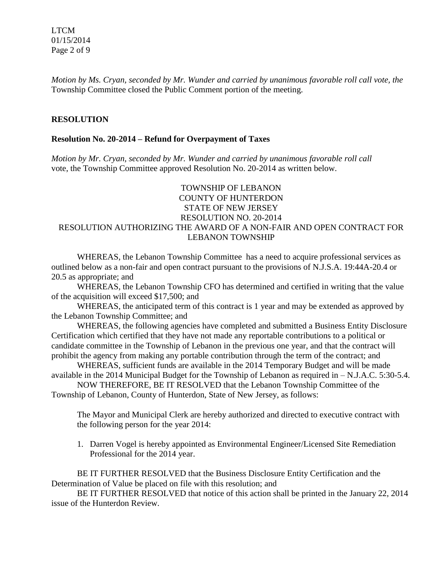LTCM 01/15/2014 Page 2 of 9

*Motion by Ms. Cryan, seconded by Mr. Wunder and carried by unanimous favorable roll call vote, the* Township Committee closed the Public Comment portion of the meeting.

### **RESOLUTION**

#### **Resolution No. 20-2014 – Refund for Overpayment of Taxes**

*Motion by Mr. Cryan, seconded by Mr. Wunder and carried by unanimous favorable roll call* vote, the Township Committee approved Resolution No. 20-2014 as written below.

### TOWNSHIP OF LEBANON COUNTY OF HUNTERDON STATE OF NEW JERSEY RESOLUTION NO. 20-2014 RESOLUTION AUTHORIZING THE AWARD OF A NON-FAIR AND OPEN CONTRACT FOR LEBANON TOWNSHIP

WHEREAS, the Lebanon Township Committee has a need to acquire professional services as outlined below as a non-fair and open contract pursuant to the provisions of N.J.S.A. 19:44A-20.4 or 20.5 as appropriate; and

WHEREAS, the Lebanon Township CFO has determined and certified in writing that the value of the acquisition will exceed \$17,500; and

WHEREAS, the anticipated term of this contract is 1 year and may be extended as approved by the Lebanon Township Committee; and

WHEREAS, the following agencies have completed and submitted a Business Entity Disclosure Certification which certified that they have not made any reportable contributions to a political or candidate committee in the Township of Lebanon in the previous one year, and that the contract will prohibit the agency from making any portable contribution through the term of the contract; and

WHEREAS, sufficient funds are available in the 2014 Temporary Budget and will be made available in the 2014 Municipal Budget for the Township of Lebanon as required in – N.J.A.C. 5:30-5.4.

NOW THEREFORE, BE IT RESOLVED that the Lebanon Township Committee of the Township of Lebanon, County of Hunterdon, State of New Jersey, as follows:

The Mayor and Municipal Clerk are hereby authorized and directed to executive contract with the following person for the year 2014:

1. Darren Vogel is hereby appointed as Environmental Engineer/Licensed Site Remediation Professional for the 2014 year.

BE IT FURTHER RESOLVED that the Business Disclosure Entity Certification and the Determination of Value be placed on file with this resolution; and

BE IT FURTHER RESOLVED that notice of this action shall be printed in the January 22, 2014 issue of the Hunterdon Review.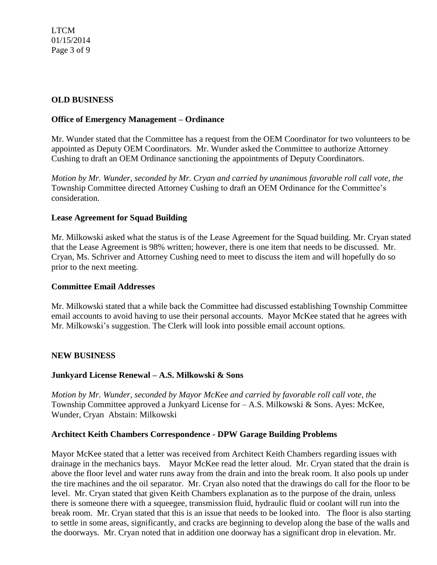# **OLD BUSINESS**

### **Office of Emergency Management – Ordinance**

Mr. Wunder stated that the Committee has a request from the OEM Coordinator for two volunteers to be appointed as Deputy OEM Coordinators. Mr. Wunder asked the Committee to authorize Attorney Cushing to draft an OEM Ordinance sanctioning the appointments of Deputy Coordinators.

*Motion by Mr. Wunder, seconded by Mr. Cryan and carried by unanimous favorable roll call vote, the*  Township Committee directed Attorney Cushing to draft an OEM Ordinance for the Committee's consideration.

### **Lease Agreement for Squad Building**

Mr. Milkowski asked what the status is of the Lease Agreement for the Squad building. Mr. Cryan stated that the Lease Agreement is 98% written; however, there is one item that needs to be discussed. Mr. Cryan, Ms. Schriver and Attorney Cushing need to meet to discuss the item and will hopefully do so prior to the next meeting.

#### **Committee Email Addresses**

Mr. Milkowski stated that a while back the Committee had discussed establishing Township Committee email accounts to avoid having to use their personal accounts. Mayor McKee stated that he agrees with Mr. Milkowski's suggestion. The Clerk will look into possible email account options.

#### **NEW BUSINESS**

#### **Junkyard License Renewal – A.S. Milkowski & Sons**

*Motion by Mr. Wunder, seconded by Mayor McKee and carried by favorable roll call vote, the* Township Committee approved a Junkyard License for – A.S. Milkowski & Sons. Ayes: McKee, Wunder, CryanAbstain: Milkowski

#### **Architect Keith Chambers Correspondence - DPW Garage Building Problems**

Mayor McKee stated that a letter was received from Architect Keith Chambers regarding issues with drainage in the mechanics bays. Mayor McKee read the letter aloud. Mr. Cryan stated that the drain is above the floor level and water runs away from the drain and into the break room. It also pools up under the tire machines and the oil separator. Mr. Cryan also noted that the drawings do call for the floor to be level. Mr. Cryan stated that given Keith Chambers explanation as to the purpose of the drain, unless there is someone there with a squeegee, transmission fluid, hydraulic fluid or coolant will run into the break room. Mr. Cryan stated that this is an issue that needs to be looked into. The floor is also starting to settle in some areas, significantly, and cracks are beginning to develop along the base of the walls and the doorways. Mr. Cryan noted that in addition one doorway has a significant drop in elevation. Mr.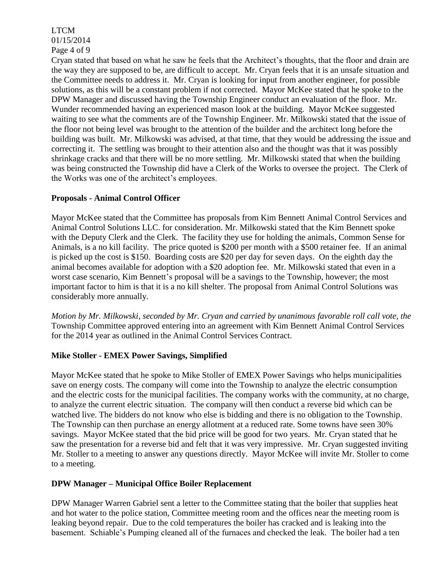# LTCM 01/15/2014 Page 4 of 9

Cryan stated that based on what he saw he feels that the Architect's thoughts, that the floor and drain are the way they are supposed to be, are difficult to accept. Mr. Cryan feels that it is an unsafe situation and the Committee needs to address it. Mr. Cryan is looking for input from another engineer, for possible solutions, as this will be a constant problem if not corrected. Mayor McKee stated that he spoke to the DPW Manager and discussed having the Township Engineer conduct an evaluation of the floor. Mr. Wunder recommended having an experienced mason look at the building. Mayor McKee suggested waiting to see what the comments are of the Township Engineer. Mr. Milkowski stated that the issue of the floor not being level was brought to the attention of the builder and the architect long before the building was built. Mr. Milkowski was advised, at that time, that they would be addressing the issue and correcting it. The settling was brought to their attention also and the thought was that it was possibly shrinkage cracks and that there will be no more settling. Mr. Milkowski stated that when the building was being constructed the Township did have a Clerk of the Works to oversee the project. The Clerk of the Works was one of the architect's employees.

# **Proposals - Animal Control Officer**

Mayor McKee stated that the Committee has proposals from Kim Bennett Animal Control Services and Animal Control Solutions LLC. for consideration. Mr. Milkowski stated that the Kim Bennett spoke with the Deputy Clerk and the Clerk. The facility they use for holding the animals, Common Sense for Animals, is a no kill facility. The price quoted is \$200 per month with a \$500 retainer fee. If an animal is picked up the cost is \$150. Boarding costs are \$20 per day for seven days. On the eighth day the animal becomes available for adoption with a \$20 adoption fee. Mr. Milkowski stated that even in a worst case scenario, Kim Bennett's proposal will be a savings to the Township, however; the most important factor to him is that it is a no kill shelter. The proposal from Animal Control Solutions was considerably more annually.

*Motion by Mr. Milkowski, seconded by Mr. Cryan and carried by unanimous favorable roll call vote, the* Township Committee approved entering into an agreement with Kim Bennett Animal Control Services for the 2014 year as outlined in the Animal Control Services Contract.

# **Mike Stoller - EMEX Power Savings, Simplified**

Mayor McKee stated that he spoke to Mike Stoller of EMEX Power Savings who helps municipalities save on energy costs. The company will come into the Township to analyze the electric consumption and the electric costs for the municipal facilities. The company works with the community, at no charge, to analyze the current electric situation. The company will then conduct a reverse bid which can be watched live. The bidders do not know who else is bidding and there is no obligation to the Township. The Township can then purchase an energy allotment at a reduced rate. Some towns have seen 30% savings. Mayor McKee stated that the bid price will be good for two years. Mr. Cryan stated that he saw the presentation for a reverse bid and felt that it was very impressive. Mr. Cryan suggested inviting Mr. Stoller to a meeting to answer any questions directly. Mayor McKee will invite Mr. Stoller to come to a meeting.

# **DPW Manager – Municipal Office Boiler Replacement**

DPW Manager Warren Gabriel sent a letter to the Committee stating that the boiler that supplies heat and hot water to the police station, Committee meeting room and the offices near the meeting room is leaking beyond repair. Due to the cold temperatures the boiler has cracked and is leaking into the basement. Schiable's Pumping cleaned all of the furnaces and checked the leak. The boiler had a ten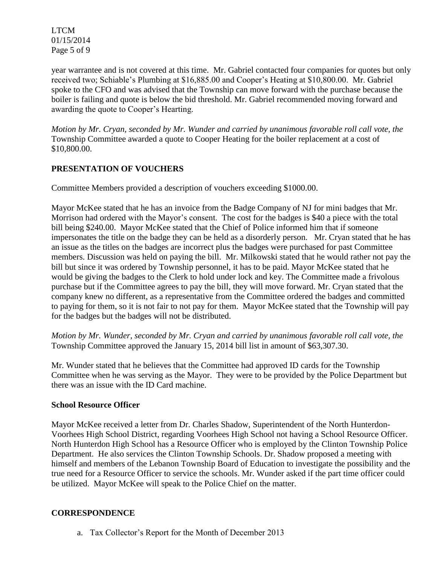LTCM 01/15/2014 Page 5 of 9

year warrantee and is not covered at this time. Mr. Gabriel contacted four companies for quotes but only received two; Schiable's Plumbing at \$16,885.00 and Cooper's Heating at \$10,800.00. Mr. Gabriel spoke to the CFO and was advised that the Township can move forward with the purchase because the boiler is failing and quote is below the bid threshold. Mr. Gabriel recommended moving forward and awarding the quote to Cooper's Hearting.

*Motion by Mr. Cryan, seconded by Mr. Wunder and carried by unanimous favorable roll call vote, the* Township Committee awarded a quote to Cooper Heating for the boiler replacement at a cost of \$10,800.00.

# **PRESENTATION OF VOUCHERS**

Committee Members provided a description of vouchers exceeding \$1000.00.

Mayor McKee stated that he has an invoice from the Badge Company of NJ for mini badges that Mr. Morrison had ordered with the Mayor's consent. The cost for the badges is \$40 a piece with the total bill being \$240.00. Mayor McKee stated that the Chief of Police informed him that if someone impersonates the title on the badge they can be held as a disorderly person. Mr. Cryan stated that he has an issue as the titles on the badges are incorrect plus the badges were purchased for past Committee members. Discussion was held on paying the bill. Mr. Milkowski stated that he would rather not pay the bill but since it was ordered by Township personnel, it has to be paid. Mayor McKee stated that he would be giving the badges to the Clerk to hold under lock and key. The Committee made a frivolous purchase but if the Committee agrees to pay the bill, they will move forward. Mr. Cryan stated that the company knew no different, as a representative from the Committee ordered the badges and committed to paying for them, so it is not fair to not pay for them. Mayor McKee stated that the Township will pay for the badges but the badges will not be distributed.

*Motion by Mr. Wunder, seconded by Mr. Cryan and carried by unanimous favorable roll call vote, the* Township Committee approved the January 15, 2014 bill list in amount of \$63,307.30.

Mr. Wunder stated that he believes that the Committee had approved ID cards for the Township Committee when he was serving as the Mayor. They were to be provided by the Police Department but there was an issue with the ID Card machine.

# **School Resource Officer**

Mayor McKee received a letter from Dr. Charles Shadow, Superintendent of the North Hunterdon-Voorhees High School District, regarding Voorhees High School not having a School Resource Officer. North Hunterdon High School has a Resource Officer who is employed by the Clinton Township Police Department. He also services the Clinton Township Schools. Dr. Shadow proposed a meeting with himself and members of the Lebanon Township Board of Education to investigate the possibility and the true need for a Resource Officer to service the schools. Mr. Wunder asked if the part time officer could be utilized. Mayor McKee will speak to the Police Chief on the matter.

# **CORRESPONDENCE**

a. Tax Collector's Report for the Month of December 2013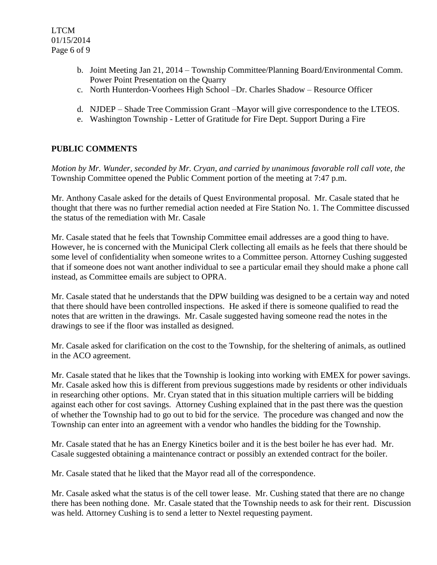- b. Joint Meeting Jan 21, 2014 Township Committee/Planning Board/Environmental Comm. Power Point Presentation on the Quarry
- c. North Hunterdon-Voorhees High School –Dr. Charles Shadow Resource Officer
- d. NJDEP Shade Tree Commission Grant –Mayor will give correspondence to the LTEOS.
- e. Washington Township Letter of Gratitude for Fire Dept. Support During a Fire

# **PUBLIC COMMENTS**

*Motion by Mr. Wunder, seconded by Mr. Cryan, and carried by unanimous favorable roll call vote, the* Township Committee opened the Public Comment portion of the meeting at 7:47 p.m.

Mr. Anthony Casale asked for the details of Quest Environmental proposal. Mr. Casale stated that he thought that there was no further remedial action needed at Fire Station No. 1. The Committee discussed the status of the remediation with Mr. Casale

Mr. Casale stated that he feels that Township Committee email addresses are a good thing to have. However, he is concerned with the Municipal Clerk collecting all emails as he feels that there should be some level of confidentiality when someone writes to a Committee person. Attorney Cushing suggested that if someone does not want another individual to see a particular email they should make a phone call instead, as Committee emails are subject to OPRA.

Mr. Casale stated that he understands that the DPW building was designed to be a certain way and noted that there should have been controlled inspections. He asked if there is someone qualified to read the notes that are written in the drawings. Mr. Casale suggested having someone read the notes in the drawings to see if the floor was installed as designed.

Mr. Casale asked for clarification on the cost to the Township, for the sheltering of animals, as outlined in the ACO agreement.

Mr. Casale stated that he likes that the Township is looking into working with EMEX for power savings. Mr. Casale asked how this is different from previous suggestions made by residents or other individuals in researching other options. Mr. Cryan stated that in this situation multiple carriers will be bidding against each other for cost savings. Attorney Cushing explained that in the past there was the question of whether the Township had to go out to bid for the service. The procedure was changed and now the Township can enter into an agreement with a vendor who handles the bidding for the Township.

Mr. Casale stated that he has an Energy Kinetics boiler and it is the best boiler he has ever had. Mr. Casale suggested obtaining a maintenance contract or possibly an extended contract for the boiler.

Mr. Casale stated that he liked that the Mayor read all of the correspondence.

Mr. Casale asked what the status is of the cell tower lease. Mr. Cushing stated that there are no change there has been nothing done. Mr. Casale stated that the Township needs to ask for their rent. Discussion was held. Attorney Cushing is to send a letter to Nextel requesting payment.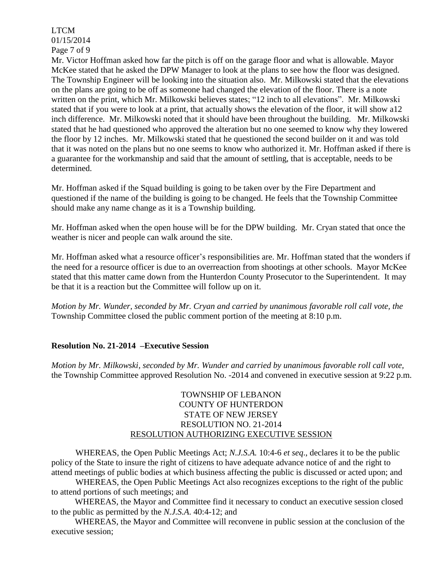LTCM 01/15/2014 Page 7 of 9

Mr. Victor Hoffman asked how far the pitch is off on the garage floor and what is allowable. Mayor McKee stated that he asked the DPW Manager to look at the plans to see how the floor was designed. The Township Engineer will be looking into the situation also. Mr. Milkowski stated that the elevations on the plans are going to be off as someone had changed the elevation of the floor. There is a note written on the print, which Mr. Milkowski believes states; "12 inch to all elevations". Mr. Milkowski stated that if you were to look at a print, that actually shows the elevation of the floor, it will show a12 inch difference. Mr. Milkowski noted that it should have been throughout the building. Mr. Milkowski stated that he had questioned who approved the alteration but no one seemed to know why they lowered the floor by 12 inches. Mr. Milkowski stated that he questioned the second builder on it and was told that it was noted on the plans but no one seems to know who authorized it. Mr. Hoffman asked if there is a guarantee for the workmanship and said that the amount of settling, that is acceptable, needs to be determined.

Mr. Hoffman asked if the Squad building is going to be taken over by the Fire Department and questioned if the name of the building is going to be changed. He feels that the Township Committee should make any name change as it is a Township building.

Mr. Hoffman asked when the open house will be for the DPW building. Mr. Cryan stated that once the weather is nicer and people can walk around the site.

Mr. Hoffman asked what a resource officer's responsibilities are. Mr. Hoffman stated that the wonders if the need for a resource officer is due to an overreaction from shootings at other schools. Mayor McKee stated that this matter came down from the Hunterdon County Prosecutor to the Superintendent. It may be that it is a reaction but the Committee will follow up on it.

*Motion by Mr. Wunder, seconded by Mr. Cryan and carried by unanimous favorable roll call vote, the* Township Committee closed the public comment portion of the meeting at 8:10 p.m.

# **Resolution No. 21-2014 –Executive Session**

*Motion by Mr. Milkowski, seconded by Mr. Wunder and carried by unanimous favorable roll call vote,* the Township Committee approved Resolution No. -2014 and convened in executive session at 9:22 p.m.

### TOWNSHIP OF LEBANON COUNTY OF HUNTERDON STATE OF NEW JERSEY RESOLUTION NO. 21-2014 RESOLUTION AUTHORIZING EXECUTIVE SESSION

WHEREAS, the Open Public Meetings Act; *N.J.S.A.* 10:4-6 *et seq*., declares it to be the public policy of the State to insure the right of citizens to have adequate advance notice of and the right to attend meetings of public bodies at which business affecting the public is discussed or acted upon; and

WHEREAS, the Open Public Meetings Act also recognizes exceptions to the right of the public to attend portions of such meetings; and

 WHEREAS, the Mayor and Committee find it necessary to conduct an executive session closed to the public as permitted by the *N.J.S.A*. 40:4-12; and

 WHEREAS, the Mayor and Committee will reconvene in public session at the conclusion of the executive session;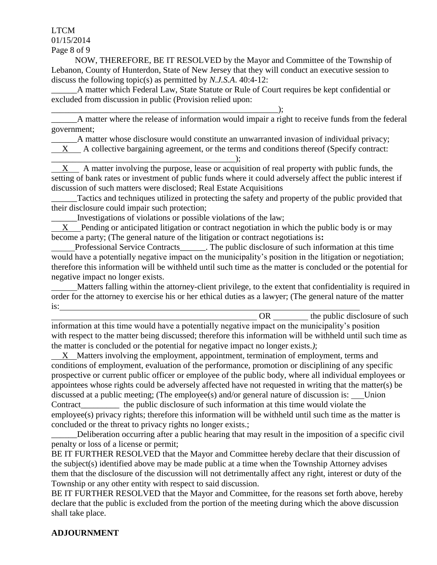LTCM 01/15/2014

Page 8 of 9

 NOW, THEREFORE, BE IT RESOLVED by the Mayor and Committee of the Township of Lebanon, County of Hunterdon, State of New Jersey that they will conduct an executive session to discuss the following topic(s) as permitted by *N.J.S.A*. 40:4-12:

A matter which Federal Law, State Statute or Rule of Court requires be kept confidential or excluded from discussion in public (Provision relied upon:

\_\_\_\_\_\_\_\_\_\_\_\_\_\_\_\_\_\_\_\_\_\_\_\_\_\_\_\_\_\_\_\_\_\_\_\_\_\_\_\_\_\_\_\_\_\_\_\_\_\_\_\_\_); A matter where the release of information would impair a right to receive funds from the federal government;

A matter whose disclosure would constitute an unwarranted invasion of individual privacy;

X A collective bargaining agreement, or the terms and conditions thereof (Specify contract:

\_\_\_\_\_\_\_\_\_\_\_\_\_\_\_\_\_\_\_\_\_\_\_\_\_\_\_\_\_\_\_\_\_\_\_\_\_\_\_\_\_\_\_);

 X A matter involving the purpose, lease or acquisition of real property with public funds, the setting of bank rates or investment of public funds where it could adversely affect the public interest if discussion of such matters were disclosed; Real Estate Acquisitions

Tactics and techniques utilized in protecting the safety and property of the public provided that their disclosure could impair such protection;

\_\_\_\_\_\_Investigations of violations or possible violations of the law;

 X Pending or anticipated litigation or contract negotiation in which the public body is or may become a party; (The general nature of the litigation or contract negotiations is**:**

Professional Service Contracts\_\_\_\_\_\_. The public disclosure of such information at this time would have a potentially negative impact on the municipality's position in the litigation or negotiation; therefore this information will be withheld until such time as the matter is concluded or the potential for negative impact no longer exists.

 Matters falling within the attorney-client privilege, to the extent that confidentiality is required in order for the attorney to exercise his or her ethical duties as a lawyer; (The general nature of the matter is:

OR the public disclosure of such information at this time would have a potentially negative impact on the municipality's position with respect to the matter being discussed; therefore this information will be withheld until such time as the matter is concluded or the potential for negative impact no longer exists.*)*;

 X Matters involving the employment, appointment, termination of employment, terms and conditions of employment, evaluation of the performance, promotion or disciplining of any specific prospective or current public officer or employee of the public body, where all individual employees or appointees whose rights could be adversely affected have not requested in writing that the matter(s) be discussed at a public meeting; (The employee(s) and/or general nature of discussion is: Union Contract the public disclosure of such information at this time would violate the employee(s) privacy rights; therefore this information will be withheld until such time as the matter is concluded or the threat to privacy rights no longer exists.;

Deliberation occurring after a public hearing that may result in the imposition of a specific civil penalty or loss of a license or permit;

BE IT FURTHER RESOLVED that the Mayor and Committee hereby declare that their discussion of the subject(s) identified above may be made public at a time when the Township Attorney advises them that the disclosure of the discussion will not detrimentally affect any right, interest or duty of the Township or any other entity with respect to said discussion.

BE IT FURTHER RESOLVED that the Mayor and Committee, for the reasons set forth above, hereby declare that the public is excluded from the portion of the meeting during which the above discussion shall take place.

#### **ADJOURNMENT**